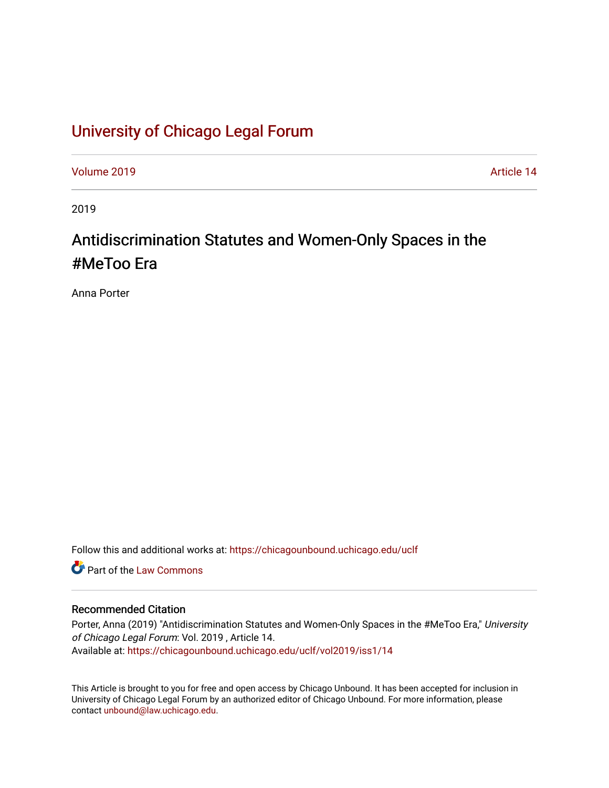# [University of Chicago Legal Forum](https://chicagounbound.uchicago.edu/uclf)

[Volume 2019](https://chicagounbound.uchicago.edu/uclf/vol2019) [Article 14](https://chicagounbound.uchicago.edu/uclf/vol2019/iss1/14) 

2019

# Antidiscrimination Statutes and Women-Only Spaces in the #MeToo Era

Anna Porter

Follow this and additional works at: [https://chicagounbound.uchicago.edu/uclf](https://chicagounbound.uchicago.edu/uclf?utm_source=chicagounbound.uchicago.edu%2Fuclf%2Fvol2019%2Fiss1%2F14&utm_medium=PDF&utm_campaign=PDFCoverPages) 

**C** Part of the [Law Commons](http://network.bepress.com/hgg/discipline/578?utm_source=chicagounbound.uchicago.edu%2Fuclf%2Fvol2019%2Fiss1%2F14&utm_medium=PDF&utm_campaign=PDFCoverPages)

### Recommended Citation

Porter, Anna (2019) "Antidiscrimination Statutes and Women-Only Spaces in the #MeToo Era," University of Chicago Legal Forum: Vol. 2019 , Article 14. Available at: [https://chicagounbound.uchicago.edu/uclf/vol2019/iss1/14](https://chicagounbound.uchicago.edu/uclf/vol2019/iss1/14?utm_source=chicagounbound.uchicago.edu%2Fuclf%2Fvol2019%2Fiss1%2F14&utm_medium=PDF&utm_campaign=PDFCoverPages)

This Article is brought to you for free and open access by Chicago Unbound. It has been accepted for inclusion in University of Chicago Legal Forum by an authorized editor of Chicago Unbound. For more information, please contact [unbound@law.uchicago.edu](mailto:unbound@law.uchicago.edu).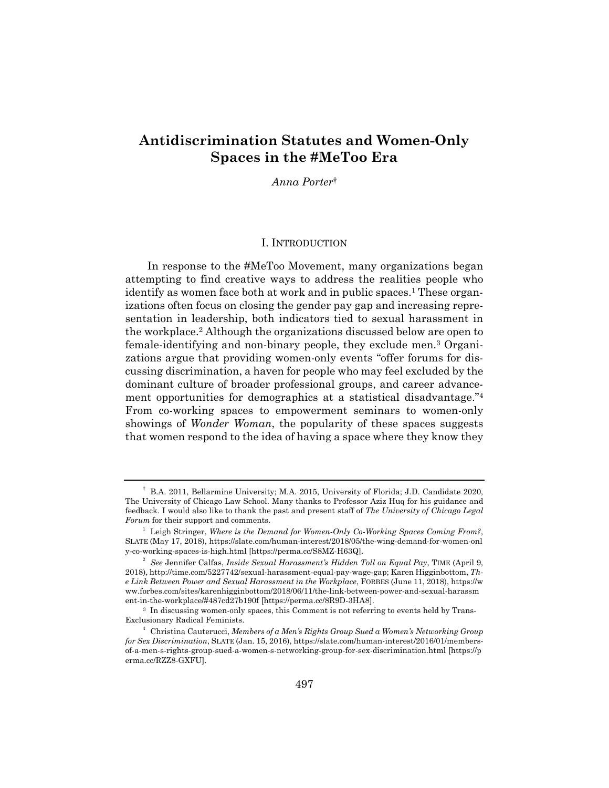## **Antidiscrimination Statutes and Women-Only Spaces in the #MeToo Era**

*Anna Porter*†

#### I. INTRODUCTION

In response to the #MeToo Movement, many organizations began attempting to find creative ways to address the realities people who identify as women face both at work and in public spaces.<sup>1</sup> These organizations often focus on closing the gender pay gap and increasing representation in leadership, both indicators tied to sexual harassment in the workplace.2 Although the organizations discussed below are open to female-identifying and non-binary people, they exclude men.3 Organizations argue that providing women-only events "offer forums for discussing discrimination, a haven for people who may feel excluded by the dominant culture of broader professional groups, and career advancement opportunities for demographics at a statistical disadvantage."4 From co-working spaces to empowerment seminars to women-only showings of *Wonder Woman*, the popularity of these spaces suggests that women respond to the idea of having a space where they know they

<sup>†</sup> B.A. 2011, Bellarmine University; M.A. 2015, University of Florida; J.D. Candidate 2020, The University of Chicago Law School. Many thanks to Professor Aziz Huq for his guidance and feedback. I would also like to thank the past and present staff of *The University of Chicago Legal Forum* for their support and comments.

<sup>&</sup>lt;sup>1</sup> Leigh Stringer, *Where is the Demand for Women-Only Co-Working Spaces Coming From?*, SLATE (May 17, 2018), https://slate.com/human-interest/2018/05/the-wing-demand-for-women-onl y-co-working-spaces-is-high.html [https://perma.cc/S8MZ-H63Q]. 2

*See* Jennifer Calfas, *Inside Sexual Harassment's Hidden Toll on Equal Pay*, TIME (April 9, 2018), http://time.com/5227742/sexual-harassment-equal-pay-wage-gap; Karen Higginbottom, *The Link Between Power and Sexual Harassment in the Workplace*, FORBES (June 11, 2018), https://w ww.forbes.com/sites/karenhigginbottom/2018/06/11/the-link-between-power-and-sexual-harassm ent-in-the-workplace/#487cd27b190f [https://perma.cc/8R9D-3HA8].

 <sup>3</sup> In discussing women-only spaces, this Comment is not referring to events held by Trans-Exclusionary Radical Feminists. 4

Christina Cauterucci, *Members of a Men's Rights Group Sued a Women's Networking Group for Sex Discrimination*, SLATE (Jan. 15, 2016), https://slate.com/human-interest/2016/01/membersof-a-men-s-rights-group-sued-a-women-s-networking-group-for-sex-discrimination.html [https://p erma.cc/RZZ8-GXFU].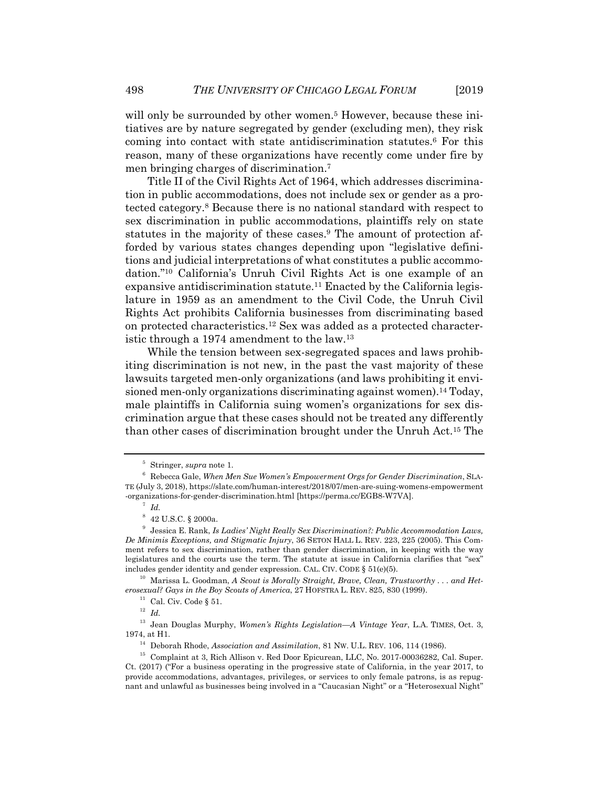will only be surrounded by other women.<sup>5</sup> However, because these initiatives are by nature segregated by gender (excluding men), they risk coming into contact with state antidiscrimination statutes.6 For this reason, many of these organizations have recently come under fire by men bringing charges of discrimination.7

Title II of the Civil Rights Act of 1964, which addresses discrimination in public accommodations, does not include sex or gender as a protected category.8 Because there is no national standard with respect to sex discrimination in public accommodations, plaintiffs rely on state statutes in the majority of these cases.<sup>9</sup> The amount of protection afforded by various states changes depending upon "legislative definitions and judicial interpretations of what constitutes a public accommodation."10 California's Unruh Civil Rights Act is one example of an expansive antidiscrimination statute.<sup>11</sup> Enacted by the California legislature in 1959 as an amendment to the Civil Code, the Unruh Civil Rights Act prohibits California businesses from discriminating based on protected characteristics.12 Sex was added as a protected characteristic through a 1974 amendment to the law.13

While the tension between sex-segregated spaces and laws prohibiting discrimination is not new, in the past the vast majority of these lawsuits targeted men-only organizations (and laws prohibiting it envisioned men-only organizations discriminating against women).14 Today, male plaintiffs in California suing women's organizations for sex discrimination argue that these cases should not be treated any differently than other cases of discrimination brought under the Unruh Act.15 The

<sup>10</sup> Marissa L. Goodman, *A Scout is Morally Straight, Brave, Clean, Trustworthy . . . and Heterosexual?* Gays in the Boy Scouts of America, 27 HOFSTRA L. REV. 825, 830 (1999). <sup>11</sup> Cal. Civ. Code § 51.

13 Jean Douglas Murphy, *Women's Rights Legislation—A Vintage Year*, L.A. TIMES, Oct. 3, 1974, at H1.<br><sup>14</sup> Deborah Rhode, *Association and Assimilation*, 81 Nw. U.L. REV. 106, 114 (1986).<br><sup>15</sup> Complaint at 3, Rich Allison v. Red Door Epicurean, LLC, No. 2017-00036282, Cal. Super.

<sup>&</sup>lt;sup>5</sup> Stringer, *supra* note 1.<br><sup>6</sup> Pehases Cale, When Me

Rebecca Gale, *When Men Sue Women's Empowerment Orgs for Gender Discrimination*, SLA-TE (July 3, 2018), https://slate.com/human-interest/2018/07/men-are-suing-womens-empowerment -organizations-for-gender-discrimination.html [https://perma.cc/EGB8-W7VA].

 $^7$  *Id.* 

 $8\,$  42 U.S.C. § 2000a.

<sup>9</sup> Jessica E. Rank, *Is Ladies' Night Really Sex Discrimination?: Public Accommodation Laws, De Minimis Exceptions, and Stigmatic Injury*, 36 SETON HALL L. REV. 223, 225 (2005). This Comment refers to sex discrimination, rather than gender discrimination, in keeping with the way legislatures and the courts use the term. The statute at issue in California clarifies that "sex" includes gender identity and gender expression. CAL. CIV. CODE  $\S 51(e)(5)$ .

<sup>12</sup> *Id.*

Ct. (2017) ("For a business operating in the progressive state of California, in the year 2017, to provide accommodations, advantages, privileges, or services to only female patrons, is as repugnant and unlawful as businesses being involved in a "Caucasian Night" or a "Heterosexual Night"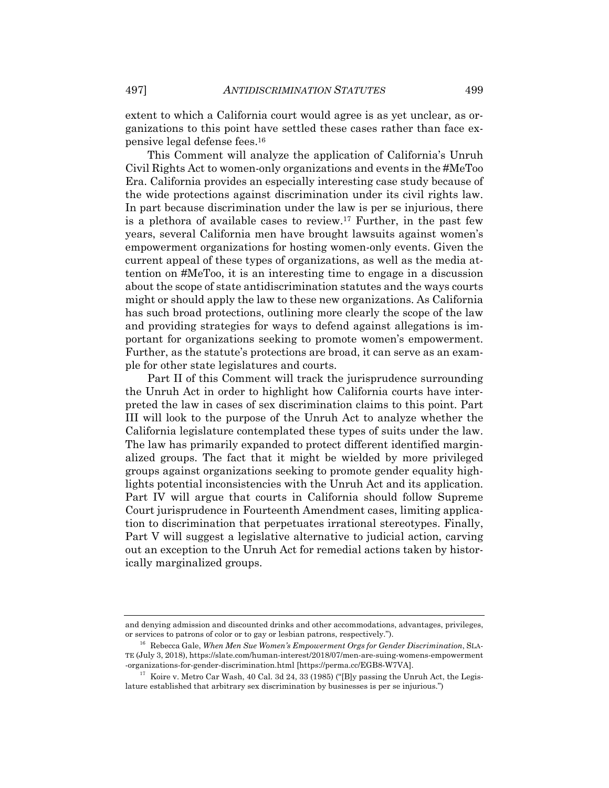extent to which a California court would agree is as yet unclear, as organizations to this point have settled these cases rather than face expensive legal defense fees.16

This Comment will analyze the application of California's Unruh Civil Rights Act to women-only organizations and events in the #MeToo Era. California provides an especially interesting case study because of the wide protections against discrimination under its civil rights law. In part because discrimination under the law is per se injurious, there is a plethora of available cases to review.17 Further, in the past few years, several California men have brought lawsuits against women's empowerment organizations for hosting women-only events. Given the current appeal of these types of organizations, as well as the media attention on #MeToo, it is an interesting time to engage in a discussion about the scope of state antidiscrimination statutes and the ways courts might or should apply the law to these new organizations. As California has such broad protections, outlining more clearly the scope of the law and providing strategies for ways to defend against allegations is important for organizations seeking to promote women's empowerment. Further, as the statute's protections are broad, it can serve as an example for other state legislatures and courts.

Part II of this Comment will track the jurisprudence surrounding the Unruh Act in order to highlight how California courts have interpreted the law in cases of sex discrimination claims to this point. Part III will look to the purpose of the Unruh Act to analyze whether the California legislature contemplated these types of suits under the law. The law has primarily expanded to protect different identified marginalized groups. The fact that it might be wielded by more privileged groups against organizations seeking to promote gender equality highlights potential inconsistencies with the Unruh Act and its application. Part IV will argue that courts in California should follow Supreme Court jurisprudence in Fourteenth Amendment cases, limiting application to discrimination that perpetuates irrational stereotypes. Finally, Part V will suggest a legislative alternative to judicial action, carving out an exception to the Unruh Act for remedial actions taken by historically marginalized groups.

and denying admission and discounted drinks and other accommodations, advantages, privileges, or services to patrons of color or to gay or lesbian patrons, respectively."). 16 Rebecca Gale, *When Men Sue Women's Empowerment Orgs for Gender Discrimination*, SLA-

TE (July 3, 2018), https://slate.com/human-interest/2018/07/men-are-suing-womens-empowerment -organizations-for-gender-discrimination.html [https://perma.cc/EGB8-W7VA]. 17 Koire v. Metro Car Wash, 40 Cal. 3d 24, 33 (1985) ("[B]y passing the Unruh Act, the Legis-

lature established that arbitrary sex discrimination by businesses is per se injurious.")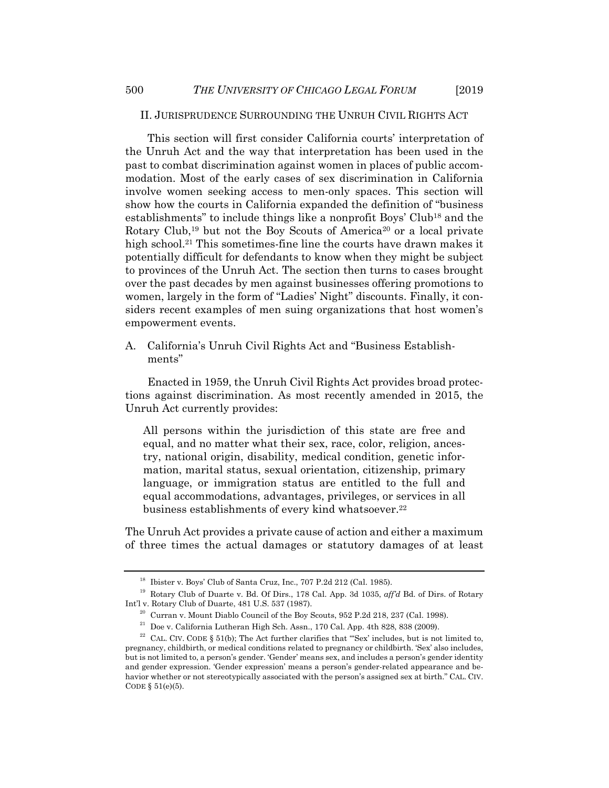#### II. JURISPRUDENCE SURROUNDING THE UNRUH CIVIL RIGHTS ACT

This section will first consider California courts' interpretation of the Unruh Act and the way that interpretation has been used in the past to combat discrimination against women in places of public accommodation. Most of the early cases of sex discrimination in California involve women seeking access to men-only spaces. This section will show how the courts in California expanded the definition of "business establishments" to include things like a nonprofit Boys' Club18 and the Rotary Club,<sup>19</sup> but not the Boy Scouts of America<sup>20</sup> or a local private high school.<sup>21</sup> This sometimes-fine line the courts have drawn makes it potentially difficult for defendants to know when they might be subject to provinces of the Unruh Act. The section then turns to cases brought over the past decades by men against businesses offering promotions to women, largely in the form of "Ladies' Night" discounts. Finally, it considers recent examples of men suing organizations that host women's empowerment events.

A. California's Unruh Civil Rights Act and "Business Establishments"

Enacted in 1959, the Unruh Civil Rights Act provides broad protections against discrimination. As most recently amended in 2015, the Unruh Act currently provides:

All persons within the jurisdiction of this state are free and equal, and no matter what their sex, race, color, religion, ancestry, national origin, disability, medical condition, genetic information, marital status, sexual orientation, citizenship, primary language, or immigration status are entitled to the full and equal accommodations, advantages, privileges, or services in all business establishments of every kind whatsoever.22

The Unruh Act provides a private cause of action and either a maximum of three times the actual damages or statutory damages of at least

<sup>18</sup> Ibister v. Boys' Club of Santa Cruz, Inc., 707 P.2d 212 (Cal. 1985).

<sup>&</sup>lt;sup>19</sup> Rotary Club of Duarte v. Bd. Of Dirs., 178 Cal. App. 3d 1035, *aff'd* Bd. of Dirs. of Rotary Int'l v. Rotary Club of Duarte, 481 U.S. 537 (1987).

 $10^{20}$  Curran v. Mount Diablo Council of the Boy Scouts, 952 P.2d 218, 237 (Cal. 1998).

 $21$  Doe v. California Lutheran High Sch. Assn., 170 Cal. App. 4th 828, 838 (2009).

<sup>&</sup>lt;sup>22</sup> CAL. CIV. CODE § 51(b); The Act further clarifies that "Sex' includes, but is not limited to, pregnancy, childbirth, or medical conditions related to pregnancy or childbirth. 'Sex' also includes, but is not limited to, a person's gender. 'Gender' means sex, and includes a person's gender identity and gender expression. 'Gender expression' means a person's gender-related appearance and behavior whether or not stereotypically associated with the person's assigned sex at birth." CAL. CIV. CODE  $§ 51(e)(5)$ .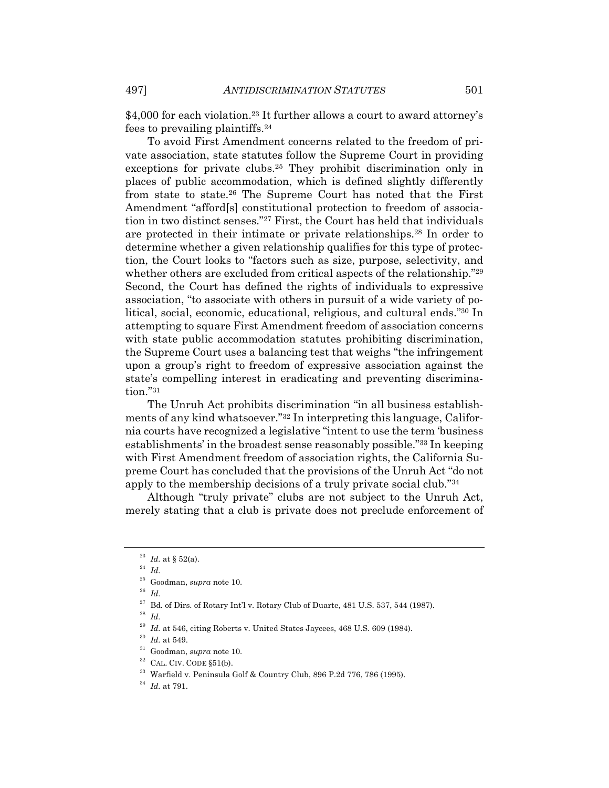\$4,000 for each violation.<sup>23</sup> It further allows a court to award attorney's fees to prevailing plaintiffs.24

To avoid First Amendment concerns related to the freedom of private association, state statutes follow the Supreme Court in providing exceptions for private clubs.25 They prohibit discrimination only in places of public accommodation, which is defined slightly differently from state to state.26 The Supreme Court has noted that the First Amendment "afford[s] constitutional protection to freedom of association in two distinct senses."27 First, the Court has held that individuals are protected in their intimate or private relationships.28 In order to determine whether a given relationship qualifies for this type of protection, the Court looks to "factors such as size, purpose, selectivity, and whether others are excluded from critical aspects of the relationship."29 Second, the Court has defined the rights of individuals to expressive association, "to associate with others in pursuit of a wide variety of political, social, economic, educational, religious, and cultural ends."30 In attempting to square First Amendment freedom of association concerns with state public accommodation statutes prohibiting discrimination, the Supreme Court uses a balancing test that weighs "the infringement upon a group's right to freedom of expressive association against the state's compelling interest in eradicating and preventing discrimination."31

The Unruh Act prohibits discrimination "in all business establishments of any kind whatsoever."32 In interpreting this language, California courts have recognized a legislative "intent to use the term 'business establishments' in the broadest sense reasonably possible."33 In keeping with First Amendment freedom of association rights, the California Supreme Court has concluded that the provisions of the Unruh Act "do not apply to the membership decisions of a truly private social club."34

Although "truly private" clubs are not subject to the Unruh Act, merely stating that a club is private does not preclude enforcement of

<sup>&</sup>lt;sup>23</sup> *Id.* at § 52(a).<br><sup>24</sup> *Id.* 

 $\stackrel{25}{\phantom{}_{26}}$  Goodman,  $supra$  note 10.  $^{26}$   $\,$   $\!Id.$ 

 $^{27}$  Bd. of Dirs. of Rotary Int'l v. Rotary Club of Duarte, 481 U.S. 537, 544 (1987).  $^{28}$   $\emph{Id.}$ 

<sup>&</sup>lt;sup>29</sup> Id. at 546, citing Roberts v. United States Jaycees, 468 U.S. 609 (1984).

<sup>&</sup>lt;sup>30</sup> *Id.* at 549.<br><sup>31</sup> Goodman, *supra* note 10.<br><sup>32</sup> CAL. CIV. CODE §51(b).<br><sup>33</sup> Warfield v. Peninsula Golf & Country Club, 896 P.2d 776, 786 (1995).<br><sup>34</sup> *Id.* at 791.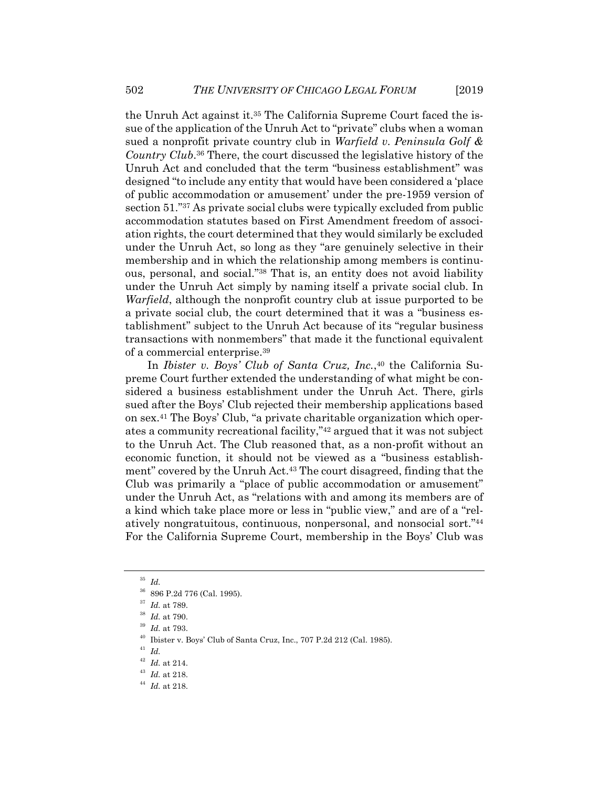the Unruh Act against it.35 The California Supreme Court faced the issue of the application of the Unruh Act to "private" clubs when a woman sued a nonprofit private country club in *Warfield v. Peninsula Golf & Country Club*.36 There, the court discussed the legislative history of the Unruh Act and concluded that the term "business establishment" was designed "to include any entity that would have been considered a 'place of public accommodation or amusement' under the pre-1959 version of section 51."37 As private social clubs were typically excluded from public accommodation statutes based on First Amendment freedom of association rights, the court determined that they would similarly be excluded under the Unruh Act, so long as they "are genuinely selective in their membership and in which the relationship among members is continuous, personal, and social."38 That is, an entity does not avoid liability under the Unruh Act simply by naming itself a private social club. In *Warfield*, although the nonprofit country club at issue purported to be a private social club, the court determined that it was a "business establishment" subject to the Unruh Act because of its "regular business transactions with nonmembers" that made it the functional equivalent of a commercial enterprise.39

In *Ibister v. Boys' Club of Santa Cruz, Inc.*,<sup>40</sup> the California Supreme Court further extended the understanding of what might be considered a business establishment under the Unruh Act. There, girls sued after the Boys' Club rejected their membership applications based on sex.41 The Boys' Club, "a private charitable organization which operates a community recreational facility,"42 argued that it was not subject to the Unruh Act. The Club reasoned that, as a non-profit without an economic function, it should not be viewed as a "business establishment" covered by the Unruh Act.43 The court disagreed, finding that the Club was primarily a "place of public accommodation or amusement" under the Unruh Act, as "relations with and among its members are of a kind which take place more or less in "public view," and are of a "relatively nongratuitous, continuous, nonpersonal, and nonsocial sort."44 For the California Supreme Court, membership in the Boys' Club was

<sup>35</sup> *Id.*

 $^{36}\,$  896 P.2d 776 (Cal. 1995).  $^{37}\,$   $Id.$  at 789.

<sup>37</sup> *Id.* at 789. 38 *Id.* at 790. 39 *Id.* at 793. 40 Ibister v. Boys' Club of Santa Cruz, Inc., 707 P.2d 212 (Cal. 1985).

<sup>41</sup> *Id.*

<sup>42</sup> *Id.* at 214. 43 *Id.* at 218. 44 *Id.* at 218.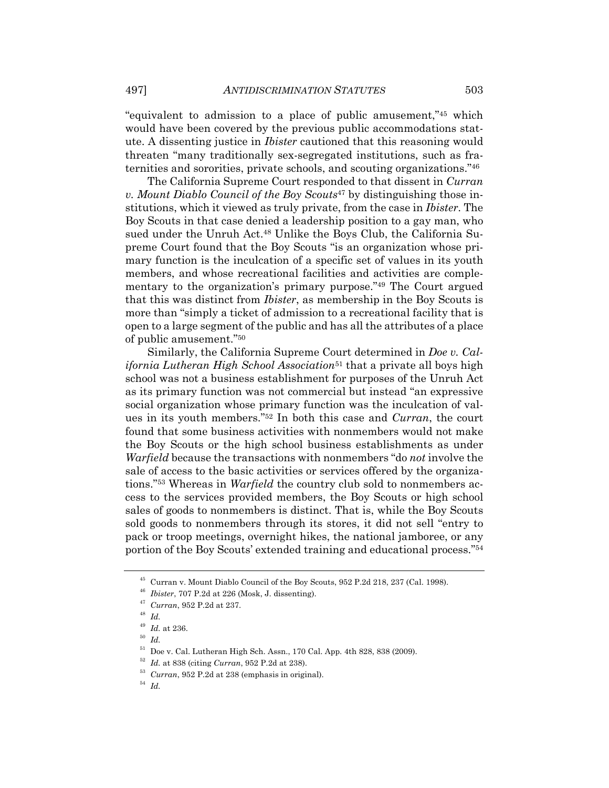"equivalent to admission to a place of public amusement,"45 which would have been covered by the previous public accommodations statute. A dissenting justice in *Ibister* cautioned that this reasoning would threaten "many traditionally sex-segregated institutions, such as fraternities and sororities, private schools, and scouting organizations."46

The California Supreme Court responded to that dissent in *Curran v. Mount Diablo Council of the Boy Scouts*47 by distinguishing those institutions, which it viewed as truly private, from the case in *Ibister*. The Boy Scouts in that case denied a leadership position to a gay man, who sued under the Unruh Act.<sup>48</sup> Unlike the Boys Club, the California Supreme Court found that the Boy Scouts "is an organization whose primary function is the inculcation of a specific set of values in its youth members, and whose recreational facilities and activities are complementary to the organization's primary purpose."49 The Court argued that this was distinct from *Ibister*, as membership in the Boy Scouts is more than "simply a ticket of admission to a recreational facility that is open to a large segment of the public and has all the attributes of a place of public amusement."50

Similarly, the California Supreme Court determined in *Doe v. California Lutheran High School Association*<sup>51</sup> that a private all boys high school was not a business establishment for purposes of the Unruh Act as its primary function was not commercial but instead "an expressive social organization whose primary function was the inculcation of values in its youth members."52 In both this case and *Curran*, the court found that some business activities with nonmembers would not make the Boy Scouts or the high school business establishments as under *Warfield* because the transactions with nonmembers "do *not* involve the sale of access to the basic activities or services offered by the organizations."53 Whereas in *Warfield* the country club sold to nonmembers access to the services provided members, the Boy Scouts or high school sales of goods to nonmembers is distinct. That is, while the Boy Scouts sold goods to nonmembers through its stores, it did not sell "entry to pack or troop meetings, overnight hikes, the national jamboree, or any portion of the Boy Scouts' extended training and educational process."54

<sup>45</sup> Curran v. Mount Diablo Council of the Boy Scouts, 952 P.2d 218, 237 (Cal. 1998).

<sup>46</sup> *Ibister*, 707 P.2d at 226 (Mosk, J. dissenting). 47 *Curran*, 952 P.2d at 237.

<sup>48</sup> *Id.*

<sup>49</sup> *Id.* at 236. 50 *Id.*

 $51$  Doe v. Cal. Lutheran High Sch. Assn., 170 Cal. App. 4th 828, 838 (2009).

<sup>52</sup> *Id.* at 838 (citing *Curran*, 952 P.2d at 238). 53 *Curran*, 952 P.2d at 238 (emphasis in original). 54 *Id.*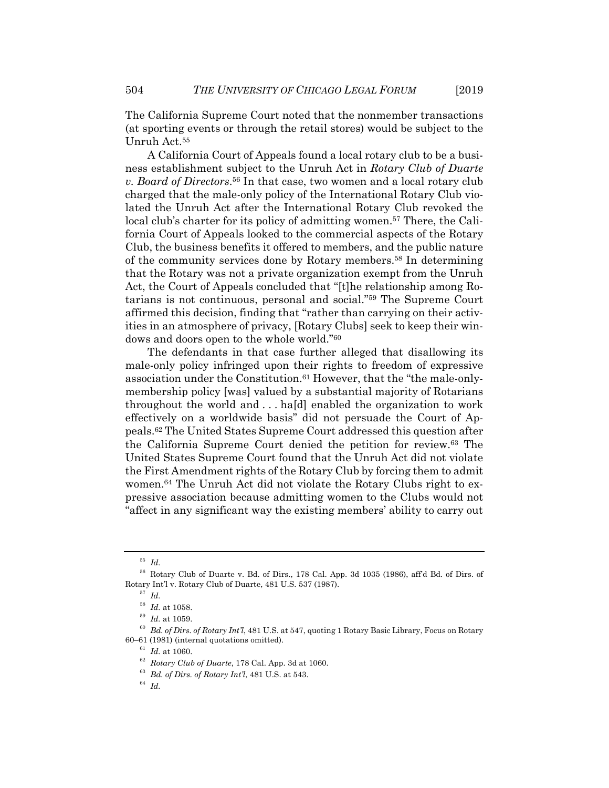The California Supreme Court noted that the nonmember transactions (at sporting events or through the retail stores) would be subject to the Unruh Act.55

A California Court of Appeals found a local rotary club to be a business establishment subject to the Unruh Act in *Rotary Club of Duarte v. Board of Directors*.56 In that case, two women and a local rotary club charged that the male-only policy of the International Rotary Club violated the Unruh Act after the International Rotary Club revoked the local club's charter for its policy of admitting women.<sup>57</sup> There, the California Court of Appeals looked to the commercial aspects of the Rotary Club, the business benefits it offered to members, and the public nature of the community services done by Rotary members.58 In determining that the Rotary was not a private organization exempt from the Unruh Act, the Court of Appeals concluded that "[t]he relationship among Rotarians is not continuous, personal and social."59 The Supreme Court affirmed this decision, finding that "rather than carrying on their activities in an atmosphere of privacy, [Rotary Clubs] seek to keep their windows and doors open to the whole world."60

The defendants in that case further alleged that disallowing its male-only policy infringed upon their rights to freedom of expressive association under the Constitution.61 However, that the "the male-onlymembership policy [was] valued by a substantial majority of Rotarians throughout the world and . . . ha[d] enabled the organization to work effectively on a worldwide basis" did not persuade the Court of Appeals.62 The United States Supreme Court addressed this question after the California Supreme Court denied the petition for review.63 The United States Supreme Court found that the Unruh Act did not violate the First Amendment rights of the Rotary Club by forcing them to admit women.<sup>64</sup> The Unruh Act did not violate the Rotary Clubs right to expressive association because admitting women to the Clubs would not "affect in any significant way the existing members' ability to carry out

<sup>55</sup> *Id.*

<sup>56</sup> Rotary Club of Duarte v. Bd. of Dirs., 178 Cal. App. 3d 1035 (1986), aff'd Bd. of Dirs. of Rotary Int'l v. Rotary Club of Duarte, 481 U.S. 537 (1987). 57 *Id.*

<sup>&</sup>lt;sup>58</sup> Id. at 1058.<br><sup>59</sup> Id. at 1059.<br><sup>60</sup> Bd. of Dirs. of Rotary Int'l, 481 U.S. at 547, quoting 1 Rotary Basic Library, Focus on Rotary 60–61 (1981) (internal quotations omitted).

<sup>61</sup> *Id.* at 1060. 62 *Rotary Club of Duarte*, 178 Cal. App. 3d at 1060. 63 *Bd. of Dirs. of Rotary Int'l*, 481 U.S. at 543. 64 *Id.*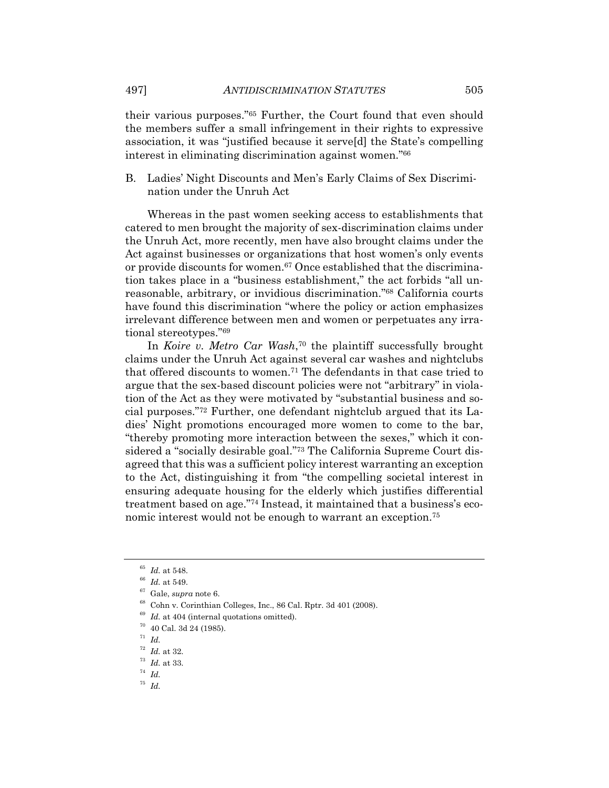497] *ANTIDISCRIMINATION STATUTES* 505

their various purposes."65 Further, the Court found that even should the members suffer a small infringement in their rights to expressive association, it was "justified because it serve[d] the State's compelling interest in eliminating discrimination against women."66

B. Ladies' Night Discounts and Men's Early Claims of Sex Discrimination under the Unruh Act

Whereas in the past women seeking access to establishments that catered to men brought the majority of sex-discrimination claims under the Unruh Act, more recently, men have also brought claims under the Act against businesses or organizations that host women's only events or provide discounts for women.<sup>67</sup> Once established that the discrimination takes place in a "business establishment," the act forbids "all unreasonable, arbitrary, or invidious discrimination."68 California courts have found this discrimination "where the policy or action emphasizes irrelevant difference between men and women or perpetuates any irrational stereotypes."69

In *Koire v. Metro Car Wash*,70 the plaintiff successfully brought claims under the Unruh Act against several car washes and nightclubs that offered discounts to women.71 The defendants in that case tried to argue that the sex-based discount policies were not "arbitrary" in violation of the Act as they were motivated by "substantial business and social purposes."72 Further, one defendant nightclub argued that its Ladies' Night promotions encouraged more women to come to the bar, "thereby promoting more interaction between the sexes," which it considered a "socially desirable goal."73 The California Supreme Court disagreed that this was a sufficient policy interest warranting an exception to the Act, distinguishing it from "the compelling societal interest in ensuring adequate housing for the elderly which justifies differential treatment based on age."74 Instead, it maintained that a business's economic interest would not be enough to warrant an exception.75

<sup>65</sup> *Id.* at 548.<br><sup>66</sup> *Id.* at 549.<br><sup>67</sup> Gale, *supra* note 6.<br><sup>68</sup> Cohn v. Corinthian Colleges, Inc., 86 Cal. Rptr. 3d 401 (2008).

- <sup>71</sup> *Id.*
- <sup>72</sup> *Id.* at 32. 73 *Id.* at 33. 74 *Id.*
- 
- 
- <sup>75</sup> *Id.*

 $^{69}$   $\emph{Id.}$  at 404 (internal quotations omitted).  $^{70}$  40 Cal. 3d 24 (1985).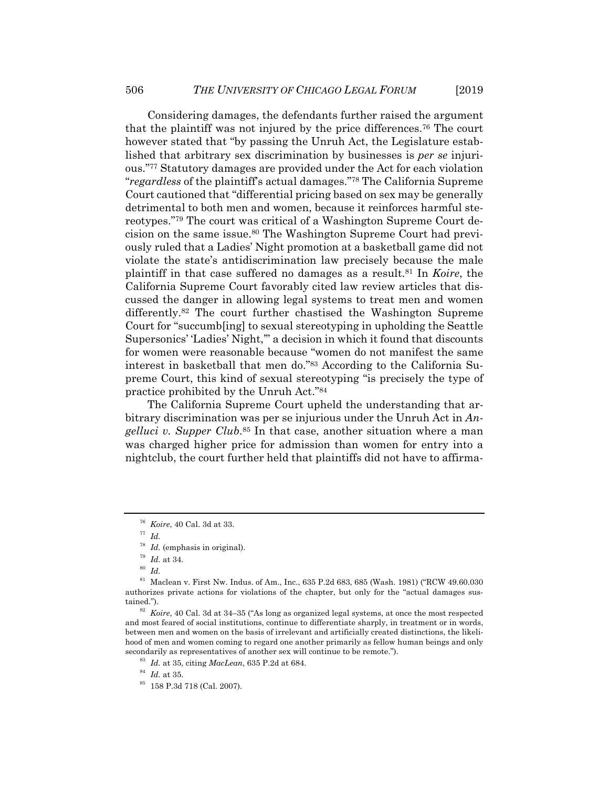Considering damages, the defendants further raised the argument that the plaintiff was not injured by the price differences.76 The court however stated that "by passing the Unruh Act, the Legislature established that arbitrary sex discrimination by businesses is *per se* injurious."77 Statutory damages are provided under the Act for each violation "*regardless* of the plaintiff's actual damages."78 The California Supreme Court cautioned that "differential pricing based on sex may be generally detrimental to both men and women, because it reinforces harmful stereotypes."79 The court was critical of a Washington Supreme Court decision on the same issue.80 The Washington Supreme Court had previously ruled that a Ladies' Night promotion at a basketball game did not violate the state's antidiscrimination law precisely because the male plaintiff in that case suffered no damages as a result.81 In *Koire*, the California Supreme Court favorably cited law review articles that discussed the danger in allowing legal systems to treat men and women differently.82 The court further chastised the Washington Supreme Court for "succumb[ing] to sexual stereotyping in upholding the Seattle Supersonics' 'Ladies' Night,'" a decision in which it found that discounts for women were reasonable because "women do not manifest the same interest in basketball that men do."83 According to the California Supreme Court, this kind of sexual stereotyping "is precisely the type of practice prohibited by the Unruh Act."84

The California Supreme Court upheld the understanding that arbitrary discrimination was per se injurious under the Unruh Act in *Angelluci v. Supper Club*.85 In that case, another situation where a man was charged higher price for admission than women for entry into a nightclub, the court further held that plaintiffs did not have to affirma-

<sup>76</sup> *Koire*, 40 Cal. 3d at 33. 77 *Id.*

<sup>78</sup> *Id.* (emphasis in original). 79 *Id.* at 34. 80 *Id.*

<sup>81</sup> Maclean v. First Nw. Indus. of Am., Inc., 635 P.2d 683, 685 (Wash. 1981) ("RCW 49.60.030 authorizes private actions for violations of the chapter, but only for the "actual damages sustained.").<br><sup>82</sup> *Koire*, 40 Cal. 3d at 34–35 ("As long as organized legal systems, at once the most respected

and most feared of social institutions, continue to differentiate sharply, in treatment or in words, between men and women on the basis of irrelevant and artificially created distinctions, the likelihood of men and women coming to regard one another primarily as fellow human beings and only secondarily as representatives of another sex will continue to be remote.").<br><sup>83</sup> *Id.* at 35, citing *MacLean*, 635 P.2d at 684.<br><sup>84</sup> *Id.* at 35. 85 158 P.3d 718 (Cal. 2007).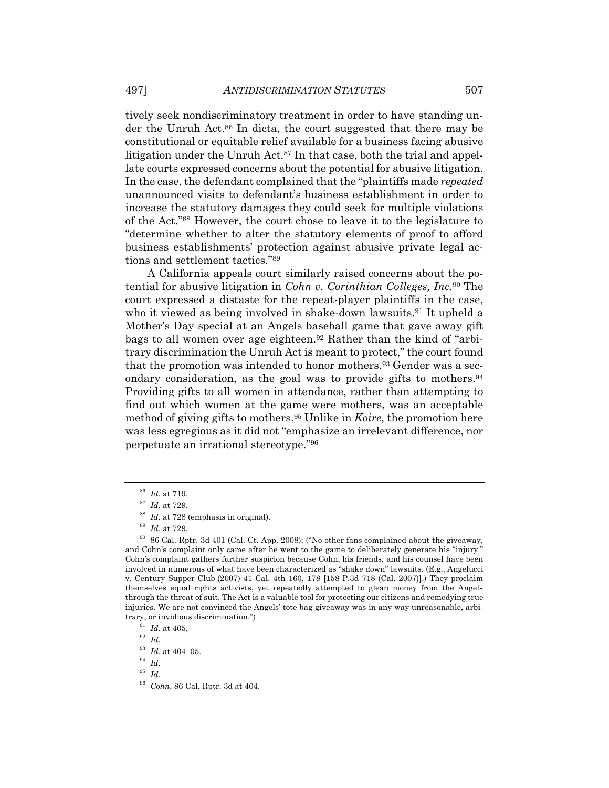tively seek nondiscriminatory treatment in order to have standing under the Unruh Act.86 In dicta, the court suggested that there may be constitutional or equitable relief available for a business facing abusive litigation under the Unruh Act.<sup>87</sup> In that case, both the trial and appellate courts expressed concerns about the potential for abusive litigation. In the case, the defendant complained that the "plaintiffs made *repeated* unannounced visits to defendant's business establishment in order to increase the statutory damages they could seek for multiple violations of the Act."88 However, the court chose to leave it to the legislature to "determine whether to alter the statutory elements of proof to afford business establishments' protection against abusive private legal actions and settlement tactics."89

A California appeals court similarly raised concerns about the potential for abusive litigation in *Cohn v. Corinthian Colleges, Inc.*90 The court expressed a distaste for the repeat-player plaintiffs in the case, who it viewed as being involved in shake-down lawsuits.<sup>91</sup> It upheld a Mother's Day special at an Angels baseball game that gave away gift bags to all women over age eighteen.<sup>92</sup> Rather than the kind of "arbitrary discrimination the Unruh Act is meant to protect," the court found that the promotion was intended to honor mothers.<sup>93</sup> Gender was a secondary consideration, as the goal was to provide gifts to mothers.<sup>94</sup> Providing gifts to all women in attendance, rather than attempting to find out which women at the game were mothers, was an acceptable method of giving gifts to mothers.95 Unlike in *Koire*, the promotion here was less egregious as it did not "emphasize an irrelevant difference, nor perpetuate an irrational stereotype."96

<sup>&</sup>lt;sup>86</sup> Id. at 719.<br><sup>87</sup> Id. at 729.<br><sup>88</sup> Id. at 728 (emphasis in original).<br><sup>89</sup> Id. at 729.<br><sup>90</sup> 86 Cal. Rptr. 3d 401 (Cal. Ct. App. 2008); ("No other fans complained about the giveaway, and Cohn's complaint only came after he went to the game to deliberately generate his "injury." Cohn's complaint gathers further suspicion because Cohn, his friends, and his counsel have been involved in numerous of what have been characterized as "shake down" lawsuits. (E.g., Angelucci v. Century Supper Club (2007) 41 Cal. 4th 160, 178 [158 P.3d 718 (Cal. 2007)].) They proclaim themselves equal rights activists, yet repeatedly attempted to glean money from the Angels through the threat of suit. The Act is a valuable tool for protecting our citizens and remedying true injuries. We are not convinced the Angels' tote bag giveaway was in any way unreasonable, arbitrary, or invidious discrimination.")<br><sup>91</sup> *Id.* at 405.<br><sup>92</sup> *Id.* 

<sup>93</sup> *Id.* at 404–05. 94 *Id.*

<sup>95</sup> *Id.*

<sup>96</sup> *Cohn*, 86 Cal. Rptr. 3d at 404.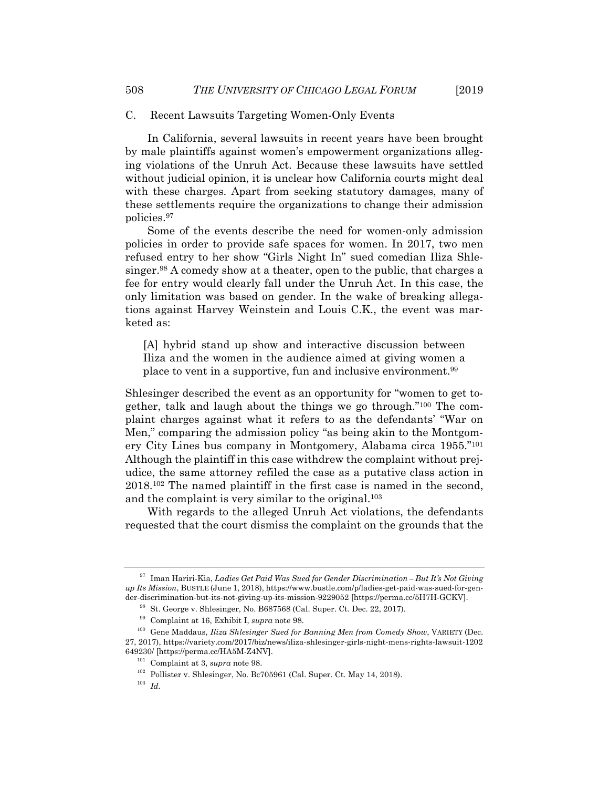#### C. Recent Lawsuits Targeting Women-Only Events

In California, several lawsuits in recent years have been brought by male plaintiffs against women's empowerment organizations alleging violations of the Unruh Act. Because these lawsuits have settled without judicial opinion, it is unclear how California courts might deal with these charges. Apart from seeking statutory damages, many of these settlements require the organizations to change their admission policies.97

Some of the events describe the need for women-only admission policies in order to provide safe spaces for women. In 2017, two men refused entry to her show "Girls Night In" sued comedian Iliza Shlesinger.98 A comedy show at a theater, open to the public, that charges a fee for entry would clearly fall under the Unruh Act. In this case, the only limitation was based on gender. In the wake of breaking allegations against Harvey Weinstein and Louis C.K., the event was marketed as:

[A] hybrid stand up show and interactive discussion between Iliza and the women in the audience aimed at giving women a place to vent in a supportive, fun and inclusive environment.99

Shlesinger described the event as an opportunity for "women to get together, talk and laugh about the things we go through."100 The complaint charges against what it refers to as the defendants' "War on Men," comparing the admission policy "as being akin to the Montgomery City Lines bus company in Montgomery, Alabama circa 1955."101 Although the plaintiff in this case withdrew the complaint without prejudice, the same attorney refiled the case as a putative class action in 2018.102 The named plaintiff in the first case is named in the second, and the complaint is very similar to the original.103

With regards to the alleged Unruh Act violations, the defendants requested that the court dismiss the complaint on the grounds that the

<sup>97</sup> Iman Hariri-Kia, *Ladies Get Paid Was Sued for Gender Discrimination – But It's Not Giving up Its Mission*, BUSTLE (June 1, 2018), https://www.bustle.com/p/ladies-get-paid-was-sued-for-gender-discrimination-but-its-not-giving-up-its-mission-9229052 [https://perma.cc/5H7H-GCKV].<br><sup>98</sup> St. George v. Shlesinger, No. B687568 (Cal. Super. Ct. Dec. 22, 2017).<br><sup>99</sup> Complaint at 16, Exhibit I, *supra* note 98.<br><sup>100</sup>

<sup>27, 2017),</sup> https://variety.com/2017/biz/news/iliza-shlesinger-girls-night-mens-rights-lawsuit-1202

<sup>649230/ [</sup>https://perma.cc/HA5M-Z4NV]. 101 Complaint at 3, *supra* note 98. 102 Pollister v. Shlesinger, No. Bc705961 (Cal. Super. Ct. May 14, 2018). 103 *Id.*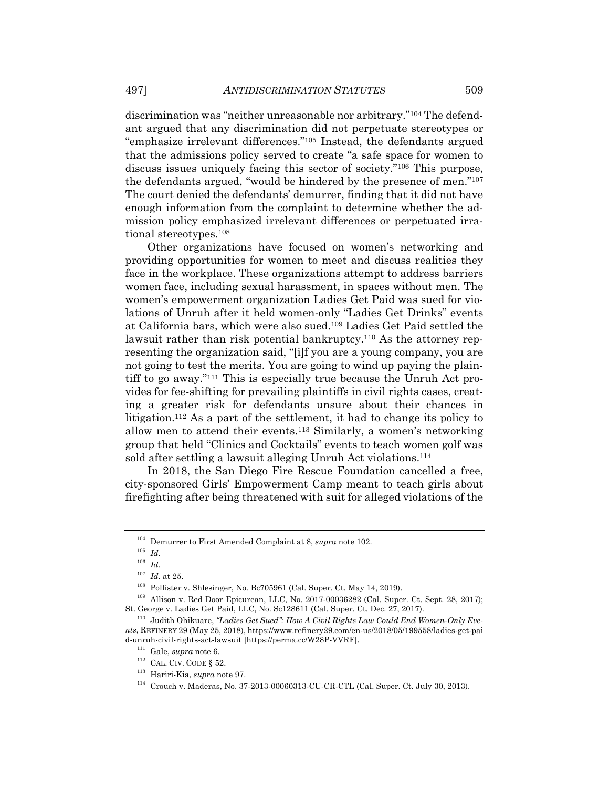discrimination was "neither unreasonable nor arbitrary."104 The defendant argued that any discrimination did not perpetuate stereotypes or "emphasize irrelevant differences."105 Instead, the defendants argued that the admissions policy served to create "a safe space for women to discuss issues uniquely facing this sector of society."106 This purpose, the defendants argued, "would be hindered by the presence of men."107 The court denied the defendants' demurrer, finding that it did not have enough information from the complaint to determine whether the admission policy emphasized irrelevant differences or perpetuated irrational stereotypes.108

Other organizations have focused on women's networking and providing opportunities for women to meet and discuss realities they face in the workplace. These organizations attempt to address barriers women face, including sexual harassment, in spaces without men. The women's empowerment organization Ladies Get Paid was sued for violations of Unruh after it held women-only "Ladies Get Drinks" events at California bars, which were also sued.109 Ladies Get Paid settled the lawsuit rather than risk potential bankruptcy.110 As the attorney representing the organization said, "[i]f you are a young company, you are not going to test the merits. You are going to wind up paying the plaintiff to go away."111 This is especially true because the Unruh Act provides for fee-shifting for prevailing plaintiffs in civil rights cases, creating a greater risk for defendants unsure about their chances in litigation.112 As a part of the settlement, it had to change its policy to allow men to attend their events.113 Similarly, a women's networking group that held "Clinics and Cocktails" events to teach women golf was sold after settling a lawsuit alleging Unruh Act violations.<sup>114</sup>

In 2018, the San Diego Fire Rescue Foundation cancelled a free, city-sponsored Girls' Empowerment Camp meant to teach girls about firefighting after being threatened with suit for alleged violations of the

 $^{104}$  Demurrer to First Amended Complaint at 8,  $supra$  note 102.  $^{105}$   $\,$   $Id$ 

 $\frac{106}{107}$  *Id.* at 25.

<sup>&</sup>lt;sup>108</sup> Pollister v. Shlesinger, No. Bc705961 (Cal. Super. Ct. May 14, 2019).<br><sup>109</sup> Allison v. Red Door Epicurean, LLC, No. 2017-00036282 (Cal. Super. Ct. Sept. 28, 2017);<br>St. George v. Ladies Get Paid, LLC, No. Sc128611 (Ca

<sup>&</sup>lt;sup>110</sup> Judith Ohikuare, "Ladies Get Sued": How A Civil Rights Law Could End Women-Only Eve*nts*, REFINERY 29 (May 25, 2018), https://www.refinery29.com/en-us/2018/05/199558/ladies-get-pai d-unruh-civil-rights-act-lawsuit [https://perma.cc/W28P-VVRF].<br>
<sup>111</sup> Gale, *supra* note 6.<br>
<sup>112</sup> CAL. CIV. CODE § 52.<br>
<sup>113</sup> Hariri-Kia, *supra* note 97.<br>
<sup>114</sup> Crouch v. Maderas, No. 37-2013-00060313-CU-CR-CTL (Cal. Su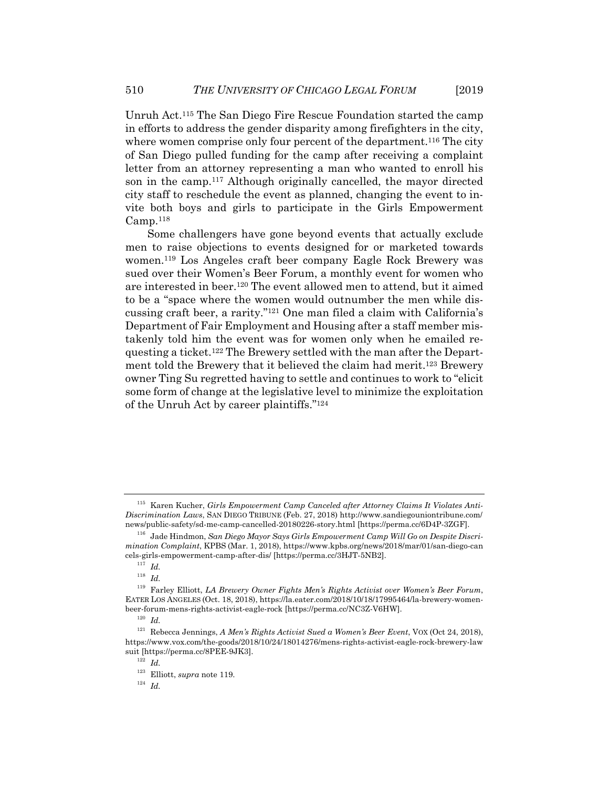Unruh Act.115 The San Diego Fire Rescue Foundation started the camp in efforts to address the gender disparity among firefighters in the city, where women comprise only four percent of the department.<sup>116</sup> The city of San Diego pulled funding for the camp after receiving a complaint letter from an attorney representing a man who wanted to enroll his son in the camp.117 Although originally cancelled, the mayor directed city staff to reschedule the event as planned, changing the event to invite both boys and girls to participate in the Girls Empowerment  $Camp.<sup>118</sup>$ 

Some challengers have gone beyond events that actually exclude men to raise objections to events designed for or marketed towards women.119 Los Angeles craft beer company Eagle Rock Brewery was sued over their Women's Beer Forum, a monthly event for women who are interested in beer.120 The event allowed men to attend, but it aimed to be a "space where the women would outnumber the men while discussing craft beer, a rarity."121 One man filed a claim with California's Department of Fair Employment and Housing after a staff member mistakenly told him the event was for women only when he emailed requesting a ticket.122 The Brewery settled with the man after the Department told the Brewery that it believed the claim had merit.<sup>123</sup> Brewery owner Ting Su regretted having to settle and continues to work to "elicit some form of change at the legislative level to minimize the exploitation of the Unruh Act by career plaintiffs."124

<sup>115</sup> Karen Kucher, *Girls Empowerment Camp Canceled after Attorney Claims It Violates Anti-Discrimination Laws*, SAN DIEGO TRIBUNE (Feb. 27, 2018) http://www.sandiegouniontribune.com/ news/public-safety/sd-me-camp-cancelled-20180226-story.html [https://perma.cc/6D4P-3ZGF]. 116 Jade Hindmon, *San Diego Mayor Says Girls Empowerment Camp Will Go on Despite Discri-*

*mination Complaint*, KPBS (Mar. 1, 2018), https://www.kpbs.org/news/2018/mar/01/san-diego-can cels-girls-empowerment-camp-after-dis/ [https://perma.cc/3HJT-5NB2]. 117 *Id.*

<sup>118</sup> *Id.*

<sup>119</sup> Farley Elliott, *LA Brewery Owner Fights Men's Rights Activist over Women's Beer Forum*, EATER LOS ANGELES (Oct. 18, 2018), https://la.eater.com/2018/10/18/17995464/la-brewery-womenbeer-forum-mens-rights-activist-eagle-rock [https://perma.cc/NC3Z-V6HW]. 120 *Id.*

<sup>121</sup> Rebecca Jennings, *A Men's Rights Activist Sued a Women's Beer Event*, VOX (Oct 24, 2018), https://www.vox.com/the-goods/2018/10/24/18014276/mens-rights-activist-eagle-rock-brewery-law suit [https://perma.cc/8PEE-9JK3]. 122 *Id.* 

<sup>123</sup> Elliott, *supra* note 119. 124 *Id.*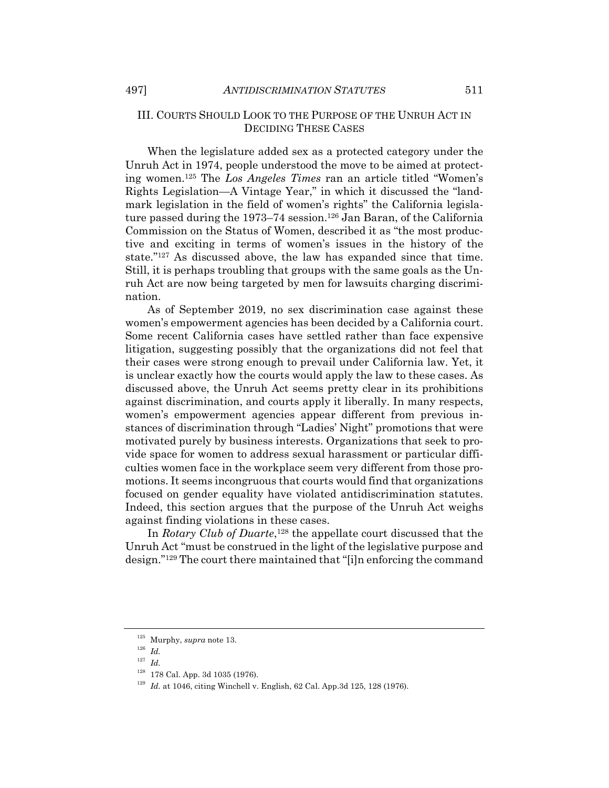#### III. COURTS SHOULD LOOK TO THE PURPOSE OF THE UNRUH ACT IN DECIDING THESE CASES

When the legislature added sex as a protected category under the Unruh Act in 1974, people understood the move to be aimed at protecting women.125 The *Los Angeles Times* ran an article titled "Women's Rights Legislation—A Vintage Year," in which it discussed the "landmark legislation in the field of women's rights" the California legislature passed during the 1973–74 session.<sup>126</sup> Jan Baran, of the California Commission on the Status of Women, described it as "the most productive and exciting in terms of women's issues in the history of the state."127 As discussed above, the law has expanded since that time. Still, it is perhaps troubling that groups with the same goals as the Unruh Act are now being targeted by men for lawsuits charging discrimination.

As of September 2019, no sex discrimination case against these women's empowerment agencies has been decided by a California court. Some recent California cases have settled rather than face expensive litigation, suggesting possibly that the organizations did not feel that their cases were strong enough to prevail under California law. Yet, it is unclear exactly how the courts would apply the law to these cases. As discussed above, the Unruh Act seems pretty clear in its prohibitions against discrimination, and courts apply it liberally. In many respects, women's empowerment agencies appear different from previous instances of discrimination through "Ladies' Night" promotions that were motivated purely by business interests. Organizations that seek to provide space for women to address sexual harassment or particular difficulties women face in the workplace seem very different from those promotions. It seems incongruous that courts would find that organizations focused on gender equality have violated antidiscrimination statutes. Indeed, this section argues that the purpose of the Unruh Act weighs against finding violations in these cases.

In *Rotary Club of Duarte*,<sup>128</sup> the appellate court discussed that the Unruh Act "must be construed in the light of the legislative purpose and design."129 The court there maintained that "[i]n enforcing the command

 $^{125}$  Murphy,  ${supra}$  note 13.  $^{126}$   $\,$   $Id.$ 

<sup>127</sup> *Id.*

<sup>&</sup>lt;sup>128</sup> 178 Cal. App. 3d 1035 (1976).<br><sup>129</sup> Id. at 1046, citing Winchell v. English, 62 Cal. App.3d 125, 128 (1976).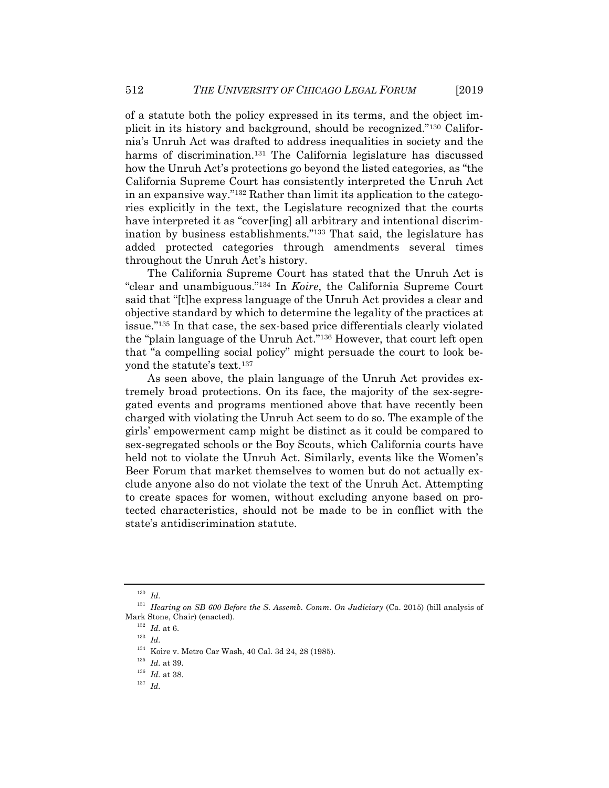of a statute both the policy expressed in its terms, and the object implicit in its history and background, should be recognized."130 California's Unruh Act was drafted to address inequalities in society and the harms of discrimination.<sup>131</sup> The California legislature has discussed how the Unruh Act's protections go beyond the listed categories, as "the California Supreme Court has consistently interpreted the Unruh Act in an expansive way."132 Rather than limit its application to the categories explicitly in the text, the Legislature recognized that the courts have interpreted it as "cover[ing] all arbitrary and intentional discrimination by business establishments."133 That said, the legislature has added protected categories through amendments several times throughout the Unruh Act's history.

The California Supreme Court has stated that the Unruh Act is "clear and unambiguous."134 In *Koire*, the California Supreme Court said that "[t]he express language of the Unruh Act provides a clear and objective standard by which to determine the legality of the practices at issue."135 In that case, the sex-based price differentials clearly violated the "plain language of the Unruh Act."136 However, that court left open that "a compelling social policy" might persuade the court to look beyond the statute's text.137

As seen above, the plain language of the Unruh Act provides extremely broad protections. On its face, the majority of the sex-segregated events and programs mentioned above that have recently been charged with violating the Unruh Act seem to do so. The example of the girls' empowerment camp might be distinct as it could be compared to sex-segregated schools or the Boy Scouts, which California courts have held not to violate the Unruh Act. Similarly, events like the Women's Beer Forum that market themselves to women but do not actually exclude anyone also do not violate the text of the Unruh Act. Attempting to create spaces for women, without excluding anyone based on protected characteristics, should not be made to be in conflict with the state's antidiscrimination statute.

<sup>130</sup> *Id.*

<sup>131</sup> *Hearing on SB 600 Before the S. Assemb. Comm. On Judiciary* (Ca. 2015) (bill analysis of Mark Stone, Chair) (enacted). 132 *Id.* at 6. 133 *Id.*

<sup>&</sup>lt;sup>134</sup> Koire v. Metro Car Wash, 40 Cal. 3d 24, 28 (1985).<br><sup>135</sup> *Id.* at 39.<br><sup>136</sup> *Id.* at 38.<br><sup>137</sup> *Id.*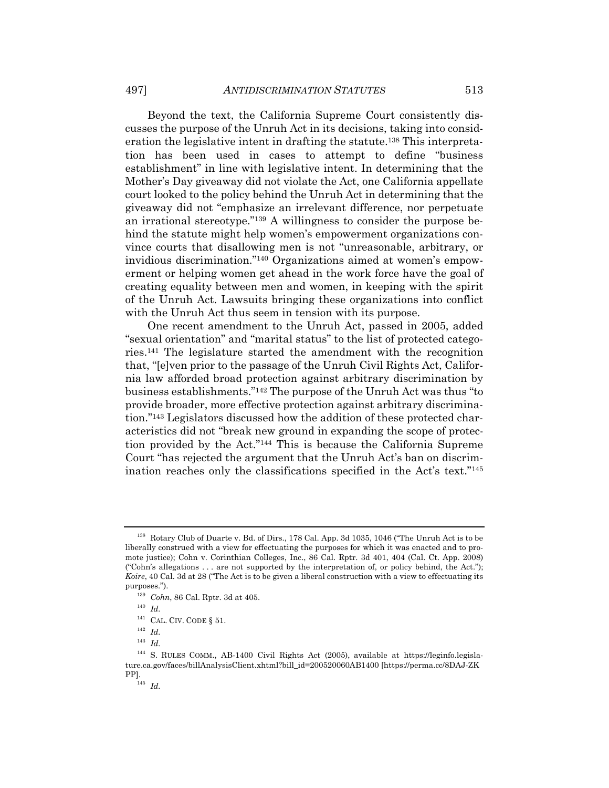Beyond the text, the California Supreme Court consistently discusses the purpose of the Unruh Act in its decisions, taking into consideration the legislative intent in drafting the statute.138 This interpretation has been used in cases to attempt to define "business establishment" in line with legislative intent. In determining that the Mother's Day giveaway did not violate the Act, one California appellate court looked to the policy behind the Unruh Act in determining that the giveaway did not "emphasize an irrelevant difference, nor perpetuate an irrational stereotype."139 A willingness to consider the purpose behind the statute might help women's empowerment organizations convince courts that disallowing men is not "unreasonable, arbitrary, or invidious discrimination."140 Organizations aimed at women's empowerment or helping women get ahead in the work force have the goal of creating equality between men and women, in keeping with the spirit of the Unruh Act. Lawsuits bringing these organizations into conflict with the Unruh Act thus seem in tension with its purpose.

One recent amendment to the Unruh Act, passed in 2005, added "sexual orientation" and "marital status" to the list of protected categories.141 The legislature started the amendment with the recognition that, "[e]ven prior to the passage of the Unruh Civil Rights Act, California law afforded broad protection against arbitrary discrimination by business establishments."142 The purpose of the Unruh Act was thus "to provide broader, more effective protection against arbitrary discrimination."143 Legislators discussed how the addition of these protected characteristics did not "break new ground in expanding the scope of protection provided by the Act."144 This is because the California Supreme Court "has rejected the argument that the Unruh Act's ban on discrimination reaches only the classifications specified in the Act's text."145

<sup>&</sup>lt;sup>138</sup> Rotary Club of Duarte v. Bd. of Dirs., 178 Cal. App. 3d 1035, 1046 ("The Unruh Act is to be liberally construed with a view for effectuating the purposes for which it was enacted and to promote justice); Cohn v. Corinthian Colleges, Inc., 86 Cal. Rptr. 3d 401, 404 (Cal. Ct. App. 2008) ("Cohn's allegations . . . are not supported by the interpretation of, or policy behind, the Act."); *Koire*, 40 Cal. 3d at 28 ("The Act is to be given a liberal construction with a view to effectuating its purposes."). 139 *Cohn*, 86 Cal. Rptr. 3d at 405. 140 *Id.*

 $^{141}$  CAL. CIV. CODE  $\S$  51.  $^{142}$   $Id.$ 

<sup>143</sup> *Id.*

<sup>&</sup>lt;sup>144</sup> S. RULES COMM., AB-1400 Civil Rights Act (2005), available at https://leginfo.legislature.ca.gov/faces/billAnalysisClient.xhtml?bill\_id=200520060AB1400 [https://perma.cc/8DAJ-ZK PP].<br> $145$  *Id.*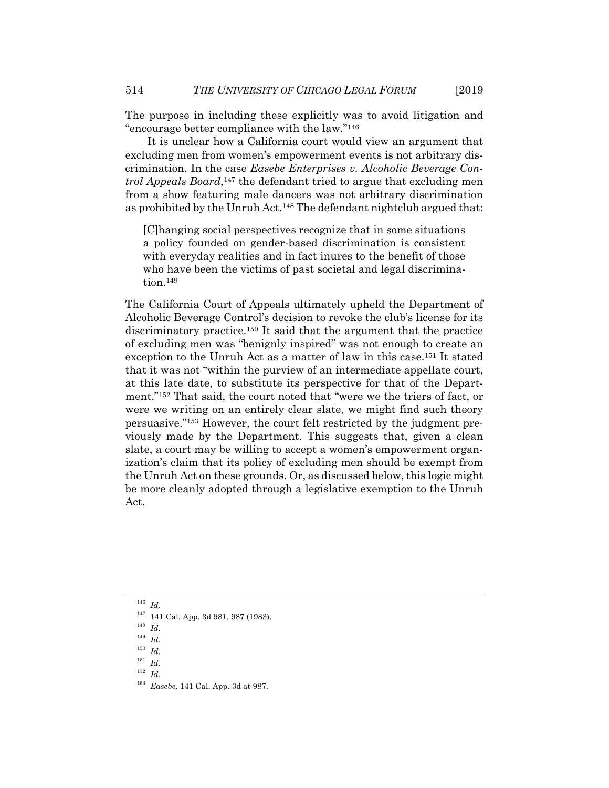The purpose in including these explicitly was to avoid litigation and "encourage better compliance with the law."146

It is unclear how a California court would view an argument that excluding men from women's empowerment events is not arbitrary discrimination. In the case *Easebe Enterprises v. Alcoholic Beverage Control Appeals Board*,147 the defendant tried to argue that excluding men from a show featuring male dancers was not arbitrary discrimination as prohibited by the Unruh Act.148 The defendant nightclub argued that:

[C]hanging social perspectives recognize that in some situations a policy founded on gender-based discrimination is consistent with everyday realities and in fact inures to the benefit of those who have been the victims of past societal and legal discrimination.149

The California Court of Appeals ultimately upheld the Department of Alcoholic Beverage Control's decision to revoke the club's license for its discriminatory practice.150 It said that the argument that the practice of excluding men was "benignly inspired" was not enough to create an exception to the Unruh Act as a matter of law in this case.151 It stated that it was not "within the purview of an intermediate appellate court, at this late date, to substitute its perspective for that of the Department."152 That said, the court noted that "were we the triers of fact, or were we writing on an entirely clear slate, we might find such theory persuasive."153 However, the court felt restricted by the judgment previously made by the Department. This suggests that, given a clean slate, a court may be willing to accept a women's empowerment organization's claim that its policy of excluding men should be exempt from the Unruh Act on these grounds. Or, as discussed below, this logic might be more cleanly adopted through a legislative exemption to the Unruh Act.

<sup>146</sup> *Id.*

<sup>150</sup> *Id.*

<sup>152</sup> *Id.*

<sup>147 141</sup> Cal. App. 3d 981, 987 (1983). 148 *Id.*

<sup>149</sup> *Id.*

<sup>151</sup> *Id.*

<sup>153</sup> *Easebe,* 141 Cal. App. 3d at 987.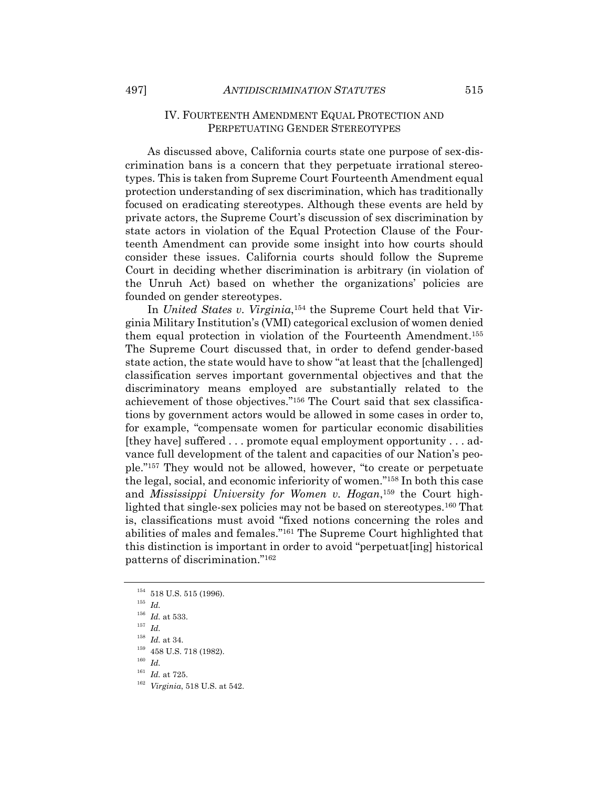#### IV. FOURTEENTH AMENDMENT EQUAL PROTECTION AND PERPETUATING GENDER STEREOTYPES

As discussed above, California courts state one purpose of sex-discrimination bans is a concern that they perpetuate irrational stereotypes. This is taken from Supreme Court Fourteenth Amendment equal protection understanding of sex discrimination, which has traditionally focused on eradicating stereotypes. Although these events are held by private actors, the Supreme Court's discussion of sex discrimination by state actors in violation of the Equal Protection Clause of the Fourteenth Amendment can provide some insight into how courts should consider these issues. California courts should follow the Supreme Court in deciding whether discrimination is arbitrary (in violation of the Unruh Act) based on whether the organizations' policies are founded on gender stereotypes.

In *United States v. Virginia*,154 the Supreme Court held that Virginia Military Institution's (VMI) categorical exclusion of women denied them equal protection in violation of the Fourteenth Amendment.155 The Supreme Court discussed that, in order to defend gender-based state action, the state would have to show "at least that the [challenged] classification serves important governmental objectives and that the discriminatory means employed are substantially related to the achievement of those objectives."156 The Court said that sex classifications by government actors would be allowed in some cases in order to, for example, "compensate women for particular economic disabilities [they have] suffered . . . promote equal employment opportunity . . . advance full development of the talent and capacities of our Nation's people."157 They would not be allowed, however, "to create or perpetuate the legal, social, and economic inferiority of women."158 In both this case and *Mississippi University for Women v. Hogan*,159 the Court highlighted that single-sex policies may not be based on stereotypes.160 That is, classifications must avoid "fixed notions concerning the roles and abilities of males and females."161 The Supreme Court highlighted that this distinction is important in order to avoid "perpetuat[ing] historical patterns of discrimination."162

<sup>154 518</sup> U.S. 515 (1996). 155 *Id.*

<sup>156</sup> *Id.* at 533. 157 *Id.*

<sup>&</sup>lt;sup>158</sup> *Id.* at 34.<br><sup>159</sup> 458 U.S. 718 (1982).<br><sup>160</sup> *Id. Id.* at 725.

<sup>&</sup>lt;sup>162</sup> *Virginia*, 518 U.S. at 542.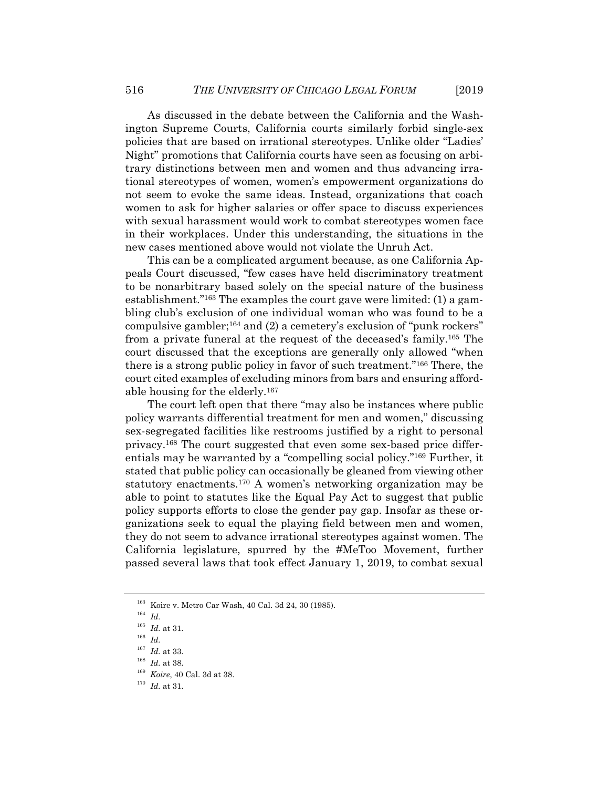As discussed in the debate between the California and the Washington Supreme Courts, California courts similarly forbid single-sex policies that are based on irrational stereotypes. Unlike older "Ladies' Night" promotions that California courts have seen as focusing on arbitrary distinctions between men and women and thus advancing irrational stereotypes of women, women's empowerment organizations do not seem to evoke the same ideas. Instead, organizations that coach women to ask for higher salaries or offer space to discuss experiences with sexual harassment would work to combat stereotypes women face in their workplaces. Under this understanding, the situations in the new cases mentioned above would not violate the Unruh Act.

This can be a complicated argument because, as one California Appeals Court discussed, "few cases have held discriminatory treatment to be nonarbitrary based solely on the special nature of the business establishment."163 The examples the court gave were limited: (1) a gambling club's exclusion of one individual woman who was found to be a compulsive gambler;164 and (2) a cemetery's exclusion of "punk rockers" from a private funeral at the request of the deceased's family.165 The court discussed that the exceptions are generally only allowed "when there is a strong public policy in favor of such treatment."166 There, the court cited examples of excluding minors from bars and ensuring affordable housing for the elderly.167

The court left open that there "may also be instances where public policy warrants differential treatment for men and women," discussing sex-segregated facilities like restrooms justified by a right to personal privacy.168 The court suggested that even some sex-based price differentials may be warranted by a "compelling social policy."169 Further, it stated that public policy can occasionally be gleaned from viewing other statutory enactments.170 A women's networking organization may be able to point to statutes like the Equal Pay Act to suggest that public policy supports efforts to close the gender pay gap. Insofar as these organizations seek to equal the playing field between men and women, they do not seem to advance irrational stereotypes against women. The California legislature, spurred by the #MeToo Movement, further passed several laws that took effect January 1, 2019, to combat sexual

<sup>163</sup> Koire v. Metro Car Wash, 40 Cal. 3d 24, 30 (1985). 164 *Id.*

<sup>&</sup>lt;sup>165</sup> *Id.* at 31.<br><sup>166</sup> *Id.* <br><sup>167</sup> *Id.* at 33.

<sup>167</sup> *Id.* at 33. 168 *Id.* at 38. 169 *Koire*, 40 Cal. 3d at 38. 170 *Id.* at 31.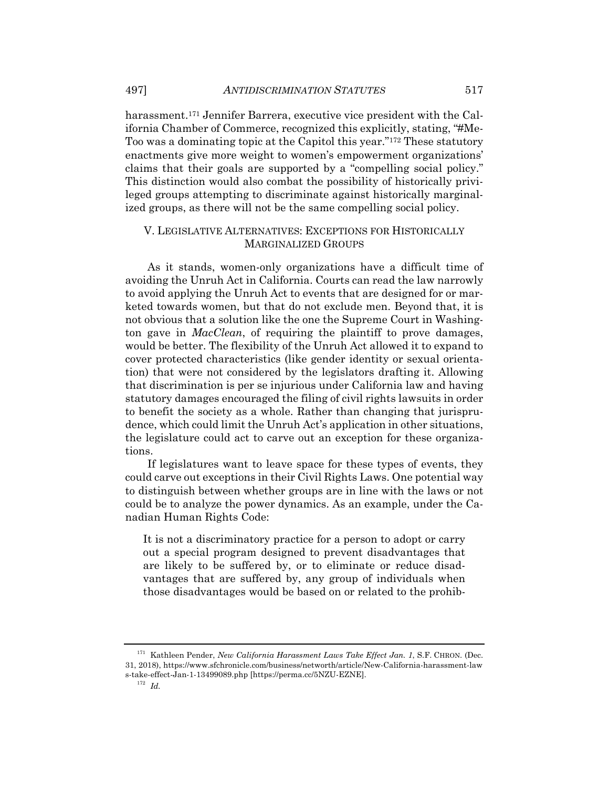harassment.171 Jennifer Barrera, executive vice president with the California Chamber of Commerce, recognized this explicitly, stating, "#Me-Too was a dominating topic at the Capitol this year."172 These statutory enactments give more weight to women's empowerment organizations' claims that their goals are supported by a "compelling social policy." This distinction would also combat the possibility of historically privileged groups attempting to discriminate against historically marginalized groups, as there will not be the same compelling social policy.

### V. LEGISLATIVE ALTERNATIVES: EXCEPTIONS FOR HISTORICALLY MARGINALIZED GROUPS

As it stands, women-only organizations have a difficult time of avoiding the Unruh Act in California. Courts can read the law narrowly to avoid applying the Unruh Act to events that are designed for or marketed towards women, but that do not exclude men. Beyond that, it is not obvious that a solution like the one the Supreme Court in Washington gave in *MacClean*, of requiring the plaintiff to prove damages, would be better. The flexibility of the Unruh Act allowed it to expand to cover protected characteristics (like gender identity or sexual orientation) that were not considered by the legislators drafting it. Allowing that discrimination is per se injurious under California law and having statutory damages encouraged the filing of civil rights lawsuits in order to benefit the society as a whole. Rather than changing that jurisprudence, which could limit the Unruh Act's application in other situations, the legislature could act to carve out an exception for these organizations.

If legislatures want to leave space for these types of events, they could carve out exceptions in their Civil Rights Laws. One potential way to distinguish between whether groups are in line with the laws or not could be to analyze the power dynamics. As an example, under the Canadian Human Rights Code:

It is not a discriminatory practice for a person to adopt or carry out a special program designed to prevent disadvantages that are likely to be suffered by, or to eliminate or reduce disadvantages that are suffered by, any group of individuals when those disadvantages would be based on or related to the prohib-

<sup>&</sup>lt;sup>171</sup> Kathleen Pender, *New California Harassment Laws Take Effect Jan. 1*, S.F. CHRON. (Dec. 31, 2018), https://www.sfchronicle.com/business/networth/article/New-California-harassment-law s-take-effect-Jan-1-13499089.php [https://perma.cc/5NZU-EZNE]. 172 *Id.*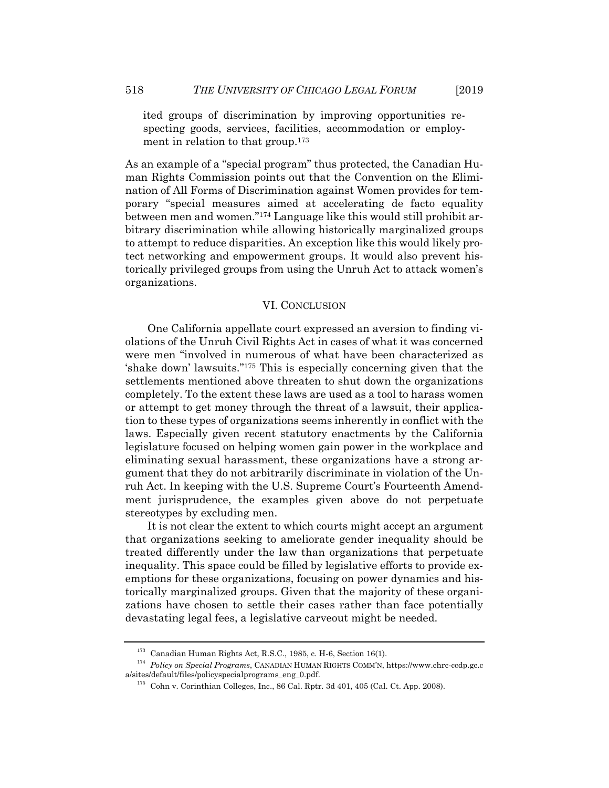ited groups of discrimination by improving opportunities respecting goods, services, facilities, accommodation or employment in relation to that group.<sup>173</sup>

As an example of a "special program" thus protected, the Canadian Human Rights Commission points out that the Convention on the Elimination of All Forms of Discrimination against Women provides for temporary "special measures aimed at accelerating de facto equality between men and women."174 Language like this would still prohibit arbitrary discrimination while allowing historically marginalized groups to attempt to reduce disparities. An exception like this would likely protect networking and empowerment groups. It would also prevent historically privileged groups from using the Unruh Act to attack women's organizations.

#### VI. CONCLUSION

One California appellate court expressed an aversion to finding violations of the Unruh Civil Rights Act in cases of what it was concerned were men "involved in numerous of what have been characterized as 'shake down' lawsuits."175 This is especially concerning given that the settlements mentioned above threaten to shut down the organizations completely. To the extent these laws are used as a tool to harass women or attempt to get money through the threat of a lawsuit, their application to these types of organizations seems inherently in conflict with the laws. Especially given recent statutory enactments by the California legislature focused on helping women gain power in the workplace and eliminating sexual harassment, these organizations have a strong argument that they do not arbitrarily discriminate in violation of the Unruh Act. In keeping with the U.S. Supreme Court's Fourteenth Amendment jurisprudence, the examples given above do not perpetuate stereotypes by excluding men.

It is not clear the extent to which courts might accept an argument that organizations seeking to ameliorate gender inequality should be treated differently under the law than organizations that perpetuate inequality. This space could be filled by legislative efforts to provide exemptions for these organizations, focusing on power dynamics and historically marginalized groups. Given that the majority of these organizations have chosen to settle their cases rather than face potentially devastating legal fees, a legislative carveout might be needed.

<sup>173</sup> Canadian Human Rights Act, R.S.C., 1985, c. H-6, Section 16(1). 174 *Policy on Special Programs*, CANADIAN HUMAN RIGHTS COMM'N, https://www.chrc-ccdp.gc.c a/sites/default/files/policyspecialprograms\_eng\_0.pdf.<br><sup>175</sup> Cohn v. Corinthian Colleges, Inc., 86 Cal. Rptr. 3d 401, 405 (Cal. Ct. App. 2008).